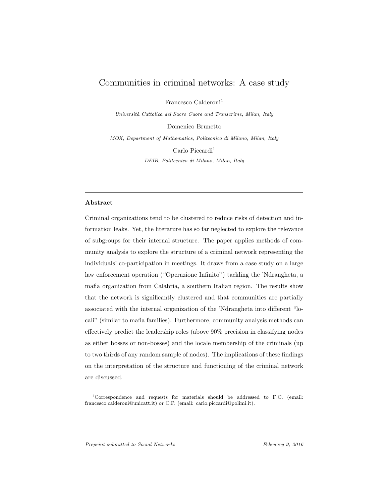# Communities in criminal networks: A case study

Francesco Calderoni<sup>1</sup>

Universit`a Cattolica del Sacro Cuore and Transcrime, Milan, Italy

Domenico Brunetto

MOX, Department of Mathematics, Politecnico di Milano, Milan, Italy

Carlo Piccardi<sup>1</sup>

DEIB, Politecnico di Milano, Milan, Italy

## Abstract

Criminal organizations tend to be clustered to reduce risks of detection and information leaks. Yet, the literature has so far neglected to explore the relevance of subgroups for their internal structure. The paper applies methods of community analysis to explore the structure of a criminal network representing the individuals' co-participation in meetings. It draws from a case study on a large law enforcement operation ("Operazione Infinito") tackling the 'Ndrangheta, a mafia organization from Calabria, a southern Italian region. The results show that the network is significantly clustered and that communities are partially associated with the internal organization of the 'Ndrangheta into different "locali" (similar to mafia families). Furthermore, community analysis methods can effectively predict the leadership roles (above 90% precision in classifying nodes as either bosses or non-bosses) and the locale membership of the criminals (up to two thirds of any random sample of nodes). The implications of these findings on the interpretation of the structure and functioning of the criminal network are discussed.

<sup>1</sup>Correspondence and requests for materials should be addressed to F.C. (email: francesco.calderoni@unicatt.it) or C.P. (email: carlo.piccardi@polimi.it).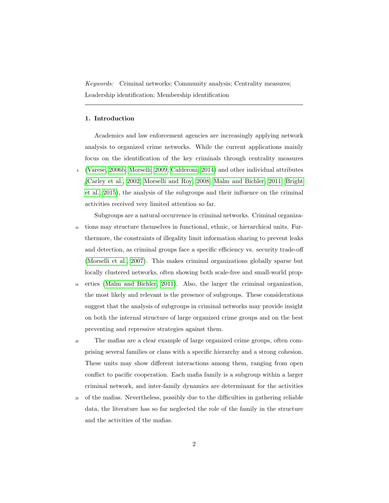Keywords: Criminal networks; Community analysis; Centrality measures; Leadership identification; Membership identification

# <span id="page-1-0"></span>1. Introduction

Academics and law enforcement agencies are increasingly applying network analysis to organized crime networks. While the current applications mainly focus on the identification of the key criminals through centrality measures <sup>5</sup> [\(Varese, 2006b;](#page-27-0) [Morselli, 2009;](#page-26-0) [Calderoni, 2014\)](#page-24-0) and other individual attributes [\(Carley et al., 2002;](#page-24-1) [Morselli and Roy, 2008;](#page-26-1) [Malm and Bichler, 2011;](#page-25-0) [Bright](#page-23-0) [et al., 2015\)](#page-23-0), the analysis of the subgroups and their influence on the criminal activities received very limited attention so far.

Subgroups are a natural occurrence in criminal networks. Criminal organiza-<sup>10</sup> tions may structure themselves in functional, ethnic, or hierarchical units. Furthermore, the constraints of illegality limit information sharing to prevent leaks and detection, as criminal groups face a specific efficiency vs. security trade-off [\(Morselli et al., 2007\)](#page-26-2). This makes criminal organizations globally sparse but locally clustered networks, often showing both scale-free and small-world prop-

- <sup>15</sup> erties [\(Malm and Bichler, 2011\)](#page-25-0). Also, the larger the criminal organization, the most likely and relevant is the presence of subgroups. These considerations suggest that the analysis of subgroups in criminal networks may provide insight on both the internal structure of large organized crime groups and on the best preventing and repressive strategies against them.
- <sup>20</sup> The mafias are a clear example of large organized crime groups, often comprising several families or clans with a specific hierarchy and a strong cohesion. These units may show different interactions among them, ranging from open conflict to pacific cooperation. Each mafia family is a subgroup within a larger criminal network, and inter-family dynamics are determinant for the activities
- <sup>25</sup> of the mafias. Nevertheless, possibly due to the difficulties in gathering reliable data, the literature has so far neglected the role of the family in the structure and the activities of the mafias.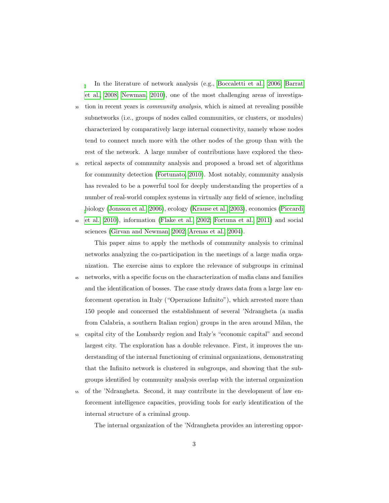In the literature of network analysis (e.g., [Boccaletti et al., 2006;](#page-23-1) [Barrat](#page-23-2) [et al., 2008;](#page-23-2) [Newman, 2010\)](#page-26-3), one of the most challenging areas of investiga-<sup>30</sup> tion in recent years is *community analysis*, which is aimed at revealing possible subnetworks (i.e., groups of nodes called communities, or clusters, or modules) characterized by comparatively large internal connectivity, namely whose nodes tend to connect much more with the other nodes of the group than with the rest of the network. A large number of contributions have explored the theo-

<sup>35</sup> retical aspects of community analysis and proposed a broad set of algorithms for community detection [\(Fortunato, 2010\)](#page-24-2). Most notably, community analysis has revealed to be a powerful tool for deeply understanding the properties of a number of real-world complex systems in virtually any field of science, including [b](#page-26-4)iology [\(Jonsson et al., 2006\)](#page-25-1), ecology [\(Krause et al., 2003\)](#page-25-2), economics [\(Piccardi](#page-26-4) [et al., 2010\)](#page-26-4), information [\(Flake et al., 2002;](#page-24-3) [Fortuna et al., 2011\)](#page-24-4) and social

sciences [\(Girvan and Newman, 2002;](#page-24-5) [Arenas et al., 2004\)](#page-23-3).

This paper aims to apply the methods of community analysis to criminal networks analyzing the co-participation in the meetings of a large mafia organization. The exercise aims to explore the relevance of subgroups in criminal

- <sup>45</sup> networks, with a specific focus on the characterization of mafia clans and families and the identification of bosses. The case study draws data from a large law enforcement operation in Italy ("Operazione Infinito"), which arrested more than 150 people and concerned the establishment of several 'Ndrangheta (a mafia from Calabria, a southern Italian region) groups in the area around Milan, the
- <sup>50</sup> capital city of the Lombardy region and Italy's "economic capital" and second largest city. The exploration has a double relevance. First, it improves the understanding of the internal functioning of criminal organizations, demonstrating that the Infinito network is clustered in subgroups, and showing that the subgroups identified by community analysis overlap with the internal organization
- <sup>55</sup> of the 'Ndrangheta. Second, it may contribute in the development of law enforcement intelligence capacities, providing tools for early identification of the internal structure of a criminal group.

The internal organization of the 'Ndrangheta provides an interesting oppor-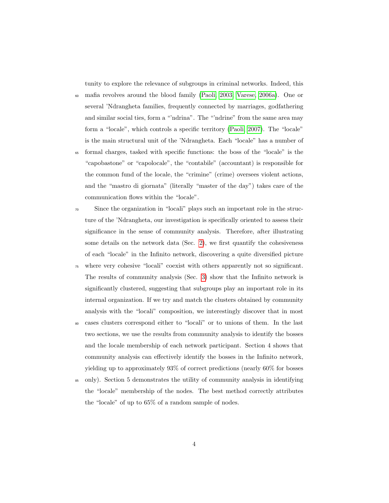tunity to explore the relevance of subgroups in criminal networks. Indeed, this

- <sup>60</sup> mafia revolves around the blood family [\(Paoli, 2003;](#page-26-5) [Varese, 2006a\)](#page-27-1). One or several 'Ndrangheta families, frequently connected by marriages, godfathering and similar social ties, form a "'ndrina". The "'ndrine" from the same area may form a "locale", which controls a specific territory [\(Paoli, 2007\)](#page-26-6). The "locale" is the main structural unit of the 'Ndrangheta. Each "locale" has a number of
- <sup>65</sup> formal charges, tasked with specific functions: the boss of the "locale" is the "capobastone" or "capolocale", the "contabile" (accountant) is responsible for the common fund of the locale, the "crimine" (crime) oversees violent actions, and the "mastro di giornata" (literally "master of the day") takes care of the communication flows within the "locale".
- <sup>70</sup> Since the organization in "locali" plays such an important role in the structure of the 'Ndrangheta, our investigation is specifically oriented to assess their significance in the sense of community analysis. Therefore, after illustrating some details on the network data (Sec. [2\)](#page-4-0), we first quantify the cohesiveness of each "locale" in the Infinito network, discovering a quite diversified picture
- <sup>75</sup> where very cohesive "locali" coexist with others apparently not so significant. The results of community analysis (Sec. [3\)](#page-7-0) show that the Infinito network is significantly clustered, suggesting that subgroups play an important role in its internal organization. If we try and match the clusters obtained by community analysis with the "locali" composition, we interestingly discover that in most
- cases clusters correspond either to "locali" or to unions of them. In the last two sections, we use the results from community analysis to identify the bosses and the locale membership of each network participant. Section 4 shows that community analysis can effectively identify the bosses in the Infinito network, yielding up to approximately 93% of correct predictions (nearly 60% for bosses
- <sup>85</sup> only). Section 5 demonstrates the utility of community analysis in identifying the "locale" membership of the nodes. The best method correctly attributes the "locale" of up to 65% of a random sample of nodes.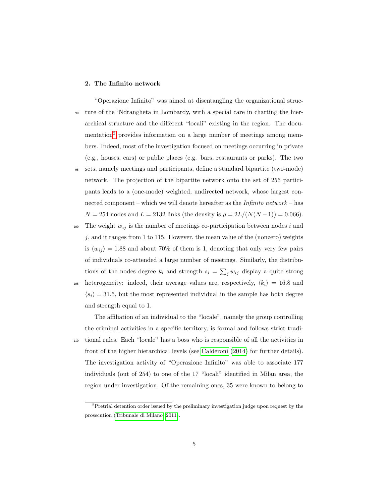### <span id="page-4-0"></span>2. The Infinito network

"Operazione Infinito" was aimed at disentangling the organizational struc-<sup>90</sup> ture of the 'Ndrangheta in Lombardy, with a special care in charting the hierarchical structure and the different "locali" existing in the region. The docu-mentation<sup>[2](#page-4-1)</sup> provides information on a large number of meetings among members. Indeed, most of the investigation focused on meetings occurring in private (e.g., houses, cars) or public places (e.g. bars, restaurants or parks). The two <sup>95</sup> sets, namely meetings and participants, define a standard bipartite (two-mode) network. The projection of the bipartite network onto the set of 256 partici-

pants leads to a (one-mode) weighted, undirected network, whose largest connected component – which we will denote hereafter as the *Infinito network* – has  $N = 254$  nodes and  $L = 2132$  links (the density is  $\rho = 2L/(N(N-1)) = 0.066$ ).

<sup>100</sup> The weight  $w_{ij}$  is the number of meetings co-participation between nodes i and  $j$ , and it ranges from 1 to 115. However, the mean value of the (nonzero) weights is  $\langle w_{ij} \rangle = 1.88$  and about 70% of them is 1, denoting that only very few pairs of individuals co-attended a large number of meetings. Similarly, the distributions of the nodes degree  $k_i$  and strength  $s_i = \sum_j w_{ij}$  display a quite strong 105 heterogeneity: indeed, their average values are, respectively,  $\langle k_i \rangle = 16.8$  and  $\langle s_i \rangle = 31.5$ , but the most represented individual in the sample has both degree and strength equal to 1.

The affiliation of an individual to the "locale", namely the group controlling the criminal activities in a specific territory, is formal and follows strict tradi-<sup>110</sup> tional rules. Each "locale" has a boss who is responsible of all the activities in front of the higher hierarchical levels (see [Calderoni \(2014\)](#page-24-0) for further details). The investigation activity of "Operazione Infinito" was able to associate 177 individuals (out of 254) to one of the 17 "locali" identified in Milan area, the region under investigation. Of the remaining ones, 35 were known to belong to

<span id="page-4-1"></span><sup>2</sup>Pretrial detention order issued by the preliminary investigation judge upon request by the prosecution [\(Tribunale di Milano, 2011\)](#page-27-2).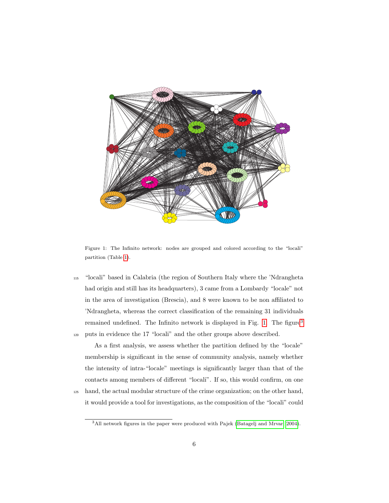

<span id="page-5-0"></span>Figure 1: The Infinito network: nodes are grouped and colored according to the "locali" partition (Table [1\)](#page-7-1).

<sup>115</sup> "locali" based in Calabria (the region of Southern Italy where the 'Ndrangheta had origin and still has its headquarters), 3 came from a Lombardy "locale" not in the area of investigation (Brescia), and 8 were known to be non affiliated to 'Ndrangheta, whereas the correct classification of the remaining 31 individuals remained undefined. The Infinito network is displayed in Fig. [1.](#page-5-0) The figure<sup>[3](#page-5-1)</sup> <sup>120</sup> puts in evidence the 17 "locali" and the other groups above described.

As a first analysis, we assess whether the partition defined by the "locale" membership is significant in the sense of community analysis, namely whether the intensity of intra-"locale" meetings is significantly larger than that of the contacts among members of different "locali". If so, this would confirm, on one <sup>125</sup> hand, the actual modular structure of the crime organization; on the other hand,

it would provide a tool for investigations, as the composition of the "locali" could

<span id="page-5-1"></span><sup>3</sup>All network figures in the paper were produced with Pajek [\(Batagelj and Mrvar, 2004\)](#page-23-4).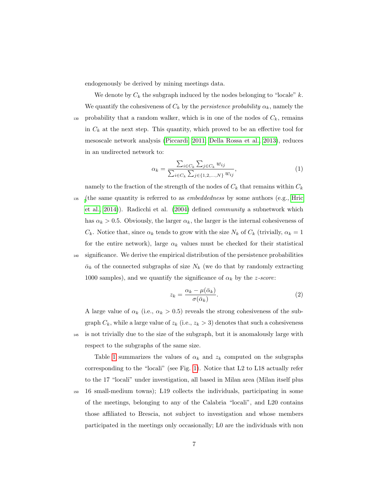endogenously be derived by mining meetings data.

We denote by  $C_k$  the subgraph induced by the nodes belonging to "locale" k. We quantify the cohesiveness of  $C_k$  by the *persistence probability*  $\alpha_k$ , namely the 130 probability that a random walker, which is in one of the nodes of  $C_k$ , remains in  $C_k$  at the next step. This quantity, which proved to be an effective tool for mesoscale network analysis [\(Piccardi, 2011;](#page-26-7) [Della Rossa et al., 2013\)](#page-24-6), reduces in an undirected network to:

$$
\alpha_k = \frac{\sum_{i \in C_k} \sum_{j \in C_k} w_{ij}}{\sum_{i \in C_k} \sum_{j \in \{1, 2, ..., N\}} w_{ij}},\tag{1}
$$

namely to the fraction of the strength of the nodes of  $C_k$  that remains within  $C_k$ <sup>135</sup> [\(](#page-25-3)the same quantity is referred to as embeddedness by some authors (e.g., [Hric](#page-25-3) [et al., 2014\)](#page-25-3)). Radicchi et al. [\(2004\)](#page-26-8) defined community a subnetwork which has  $\alpha_k > 0.5$ . Obviously, the larger  $\alpha_k$ , the larger is the internal cohesiveness of  $C_k$ . Notice that, since  $\alpha_k$  tends to grow with the size  $N_k$  of  $C_k$  (trivially,  $\alpha_k = 1$ for the entire network), large  $\alpha_k$  values must be checked for their statistical <sup>140</sup> significance. We derive the empirical distribution of the persistence probabilities  $\bar{\alpha}_k$  of the connected subgraphs of size  $N_k$  (we do that by randomly extracting 1000 samples), and we quantify the significance of  $\alpha_k$  by the *z*-score:

$$
z_k = \frac{\alpha_k - \mu(\bar{\alpha}_k)}{\sigma(\bar{\alpha}_k)}.
$$
\n(2)

A large value of  $\alpha_k$  (i.e.,  $\alpha_k > 0.5$ ) reveals the strong cohesiveness of the subgraph  $C_k$ , while a large value of  $z_k$  (i.e.,  $z_k > 3$ ) denotes that such a cohesiveness <sup>145</sup> is not trivially due to the size of the subgraph, but it is anomalously large with respect to the subgraphs of the same size.

Table [1](#page-7-1) summarizes the values of  $\alpha_k$  and  $z_k$  computed on the subgraphs corresponding to the "locali" (see Fig. [1\)](#page-5-0). Notice that L2 to L18 actually refer to the 17 "locali" under investigation, all based in Milan area (Milan itself plus <sup>150</sup> 16 small-medium towns); L19 collects the individuals, participating in some of the meetings, belonging to any of the Calabria "locali", and L20 contains those affiliated to Brescia, not subject to investigation and whose members participated in the meetings only occasionally; L0 are the individuals with non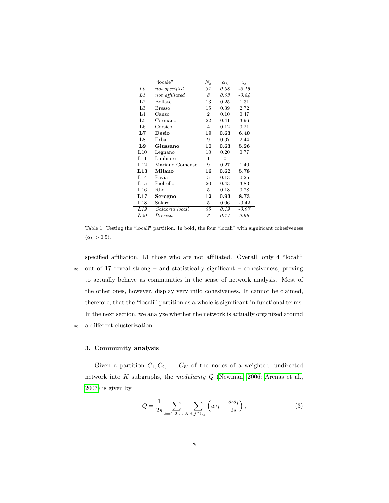|                | "locale"        | $N_k$          | $\alpha_k$     | $z_k$   |
|----------------|-----------------|----------------|----------------|---------|
| L0             | not specified   | 31             | 0.08           | $-3.15$ |
| L1             | not affiliated  | 8              | 0.03           | $-0.84$ |
| L2             | <b>Bollate</b>  | 13             | 0.25           | 1.31    |
| L3             | <b>Bresso</b>   | 15             | 0.39           | 2.72    |
| L <sub>4</sub> | $\rm Canzo$     | $\overline{2}$ | 0.10           | 0.47    |
| L5             | Cormano         | 22             | 0.41           | 3.96    |
| L6             | Corsico         | $\overline{4}$ | 0.12           | 0.21    |
| L7             | Desio           | 19             | 0.63           | 6.40    |
| L8             | Erba.           | 9              | 0.37           | 2.44    |
| L9             | Giussano        | 10             | 0.63           | 5.26    |
| L10            | Legnano         | 10             | 0.20           | 0.77    |
| L11            | Limbiate        | 1              | $\overline{0}$ |         |
| L12            | Mariano Comense | 9              | 0.27           | 1.40    |
| L13            | Milano          | 16             | 0.62           | 5.78    |
| L14            | Pavia           | 5              | 0.13           | 0.25    |
| L15            | Pioltello       | 20             | 0.43           | 3.83    |
| L16            | Rho             | 5              | 0.18           | 0.78    |
| L17            | Seregno         | 12             | 0.93           | 8.73    |
| L18            | Solaro          | 5              | 0.06           | $-0.42$ |
| L19            | Calabria locali | 35             | 0.19           | $-0.97$ |
| L20            | Brescia         | 3              | 0.17           | 0.98    |

<span id="page-7-1"></span>Table 1: Testing the "locali" partition. In bold, the four "locali" with significant cohesiveness  $(\alpha_k > 0.5)$ .

specified affiliation, L1 those who are not affiliated. Overall, only 4 "locali" <sup>155</sup> out of 17 reveal strong – and statistically significant – cohesiveness, proving to actually behave as communities in the sense of network analysis. Most of the other ones, however, display very mild cohesiveness. It cannot be claimed, therefore, that the "locali" partition as a whole is significant in functional terms. In the next section, we analyze whether the network is actually organized around <sup>160</sup> a different clusterization.

### <span id="page-7-0"></span>3. Community analysis

Given a partition  $C_1, C_2, \ldots, C_K$  of the nodes of a weighted, undirected network into K subgraphs, the modularity Q [\(Newman, 2006;](#page-26-9) [Arenas et al.,](#page-23-5) [2007\)](#page-23-5) is given by

$$
Q = \frac{1}{2s} \sum_{k=1,2,\dots,K} \sum_{i,j \in C_k} \left( w_{ij} - \frac{s_i s_j}{2s} \right),\tag{3}
$$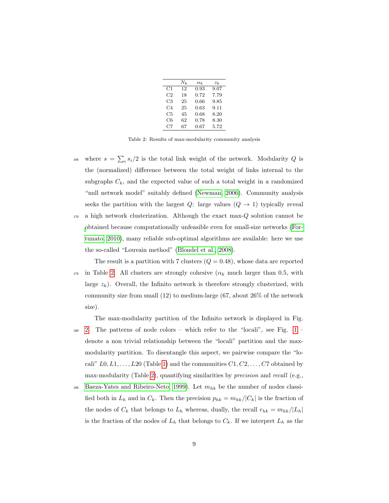|    | $N_k$ | $\alpha_k$ | $z_k$ |
|----|-------|------------|-------|
| C1 | 12    | 0.93       | 9.07  |
| C2 | 18    | 0.72       | 7.79  |
| C3 | 25    | 0.66       | 9.85  |
| C4 | 25    | 0.63       | 9.11  |
| C5 | 45    | 0.68       | 8.20  |
| C6 | 62    | 0.78       | 8.30  |
| C7 | 67    | 0.67       | 5.72  |

<span id="page-8-0"></span>Table 2: Results of max-modularity community analysis

<sup>165</sup> where  $s = \sum_i s_i/2$  is the total link weight of the network. Modularity Q is the (normalized) difference between the total weight of links internal to the subgraphs  $C_k$ , and the expected value of such a total weight in a randomized "null network model" suitably defined [\(Newman, 2006\)](#page-26-9). Community analysis seeks the partition with the largest  $Q$ : large values  $(Q \rightarrow 1)$  typically reveal <sup>170</sup> a high network clusterization. Although the exact max-Q solution cannot be [o](#page-24-2)btained because computationally unfeasible even for small-size networks [\(For-](#page-24-2)

[tunato, 2010\)](#page-24-2), many reliable sub-optimal algorithms are available: here we use the so-called "Louvain method" [\(Blondel et al., 2008\)](#page-23-6).

The result is a partition with 7 clusters  $(Q = 0.48)$ , whose data are reported 175 in Table [2.](#page-8-0) All clusters are strongly cohesive ( $\alpha_k$  much larger than 0.5, with large  $z_k$ ). Overall, the Infinito network is therefore strongly clusterized, with community size from small (12) to medium-large (67, about 26% of the network size).

The max-modularity partition of the Infinito network is displayed in Fig.

- $180\quad 2.$  $180\quad 2.$  The patterns of node colors which refer to the "locali", see Fig. [1](#page-5-0) denote a non trivial relationship between the "locali" partition and the maxmodularity partition. To disentangle this aspect, we pairwise compare the "locali"  $L0, L1, \ldots, L20$  (Table [1\)](#page-7-1) and the communities  $C1, C2, \ldots, C7$  obtained by max-modularity (Table [2\)](#page-8-0), quantifying similarities by *precision* and *recall* (e.g.,
- 185 [Baeza-Yates and Ribeiro-Neto, 1999\)](#page-23-7). Let  $m_{hk}$  be the number of nodes classified both in  $L_h$  and in  $C_k$ . Then the precision  $p_{hk} = m_{hk}/|C_k|$  is the fraction of the nodes of  $C_k$  that belongs to  $L_h$  whereas, dually, the recall  $r_{hk} = m_{hk}/|L_h|$ is the fraction of the nodes of  $L_h$  that belongs to  $C_k$ . If we interpret  $L_h$  as the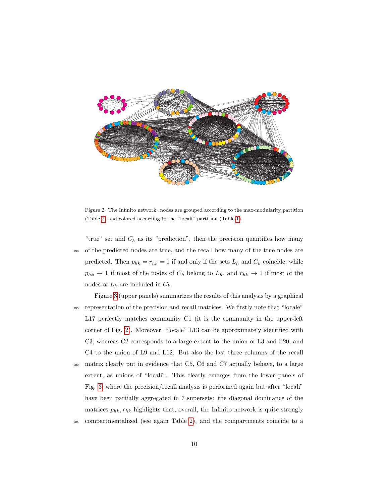

<span id="page-9-0"></span>Figure 2: The Infinito network: nodes are grouped according to the max-modularity partition (Table [2\)](#page-8-0) and colored according to the "locali" partition (Table [1\)](#page-7-1).

- "true" set and  $C_k$  as its "prediction", then the precision quantifies how many <sup>190</sup> of the predicted nodes are true, and the recall how many of the true nodes are predicted. Then  $p_{hk} = r_{hk} = 1$  if and only if the sets  $L_h$  and  $C_k$  coincide, while  $p_{hk} \rightarrow 1$  if most of the nodes of  $C_k$  belong to  $L_h$ , and  $r_{hk} \rightarrow 1$  if most of the nodes of  $L_h$  are included in  $C_k$ .
- Figure [3](#page-10-0) (upper panels) summarizes the results of this analysis by a graphical <sup>195</sup> representation of the precision and recall matrices. We firstly note that "locale" L17 perfectly matches community C1 (it is the community in the upper-left corner of Fig. [2\)](#page-9-0). Moreover, "locale" L13 can be approximately identified with C3, whereas C2 corresponds to a large extent to the union of L3 and L20, and C4 to the union of L9 and L12. But also the last three columns of the recall <sup>200</sup> matrix clearly put in evidence that C5, C6 and C7 actually behave, to a large extent, as unions of "locali". This clearly emerges from the lower panels of Fig. [3,](#page-10-0) where the precision/recall analysis is performed again but after "locali" have been partially aggregated in 7 supersets: the diagonal dominance of the matrices  $p_{hk}, r_{hk}$  highlights that, overall, the Infinito network is quite strongly <sup>205</sup> compartmentalized (see again Table [2\)](#page-8-0), and the compartments coincide to a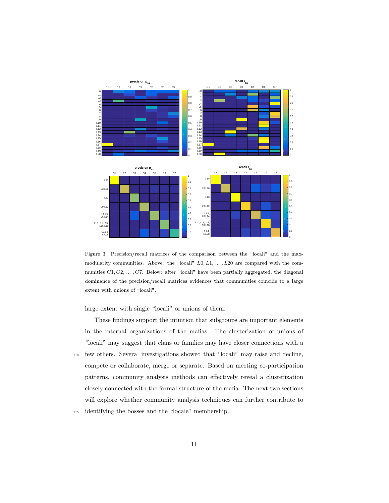

<span id="page-10-0"></span>Figure 3: Precision/recall matrices of the comparison between the "locali" and the maxmodularity communities. Above: the "locali"  $L0, L1, \ldots, L20$  are compared with the communities  $C1, C2, \ldots, C7$ . Below: after "locali" have been partially aggregated, the diagonal dominance of the precision/recall matrices evidences that communities coincide to a large extent with unions of "locali".

large extent with single "locali" or unions of them.

These findings support the intuition that subgroups are important elements in the internal organizations of the mafias. The clusterization of unions of "locali" may suggest that clans or families may have closer connections with a <sup>210</sup> few others. Several investigations showed that "locali" may raise and decline, compete or collaborate, merge or separate. Based on meeting co-participation patterns, community analysis methods can effectively reveal a clusterization closely connected with the formal structure of the mafia. The next two sections will explore whether community analysis techniques can further contribute to <sup>215</sup> identifying the bosses and the "locale" membership.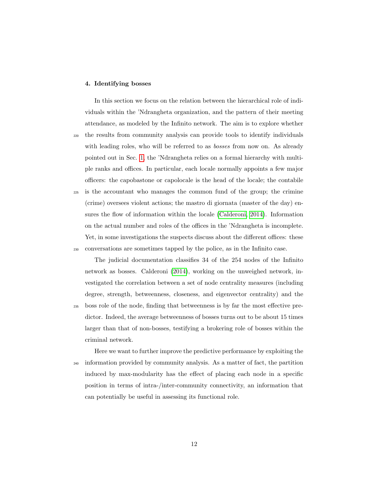#### 4. Identifying bosses

In this section we focus on the relation between the hierarchical role of individuals within the 'Ndrangheta organization, and the pattern of their meeting attendance, as modeled by the Infinito network. The aim is to explore whether <sup>220</sup> the results from community analysis can provide tools to identify individuals with leading roles, who will be referred to as *bosses* from now on. As already pointed out in Sec. [1,](#page-1-0) the 'Ndrangheta relies on a formal hierarchy with multiple ranks and offices. In particular, each locale normally appoints a few major officers: the capobastone or capolocale is the head of the locale; the contabile <sup>225</sup> is the accountant who manages the common fund of the group; the crimine

(crime) oversees violent actions; the mastro di giornata (master of the day) ensures the flow of information within the locale [\(Calderoni, 2014\)](#page-24-0). Information on the actual number and roles of the offices in the 'Ndrangheta is incomplete. Yet, in some investigations the suspects discuss about the different offices: these <sup>230</sup> conversations are sometimes tapped by the police, as in the Infinito case.

The judicial documentation classifies 34 of the 254 nodes of the Infinito network as bosses. Calderoni [\(2014\)](#page-24-0), working on the unweighed network, investigated the correlation between a set of node centrality measures (including degree, strength, betweenness, closeness, and eigenvector centrality) and the <sup>235</sup> boss role of the node, finding that betweenness is by far the most effective predictor. Indeed, the average betweenness of bosses turns out to be about 15 times larger than that of non-bosses, testifying a brokering role of bosses within the criminal network.

Here we want to further improve the predictive performance by exploiting the <sup>240</sup> information provided by community analysis. As a matter of fact, the partition induced by max-modularity has the effect of placing each node in a specific position in terms of intra-/inter-community connectivity, an information that can potentially be useful in assessing its functional role.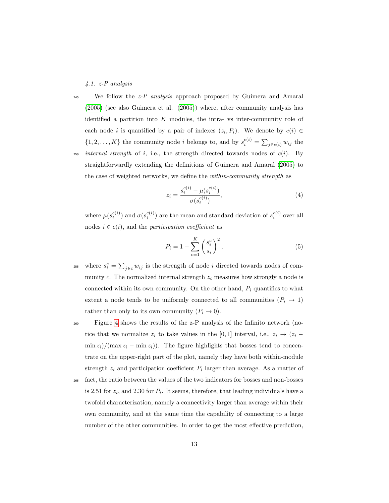4.1. z-P analysis

<sup>245</sup> We follow the  $z$ -P analysis approach proposed by Guimera and Amaral [\(2005\)](#page-25-4) (see also Guimera et al. [\(2005\)](#page-25-5)) where, after community analysis has identified a partition into  $K$  modules, the intra- vs inter-community role of each node *i* is quantified by a pair of indexes  $(z_i, P_i)$ . We denote by  $c(i) \in$  $\{1, 2, \ldots, K\}$  the community node *i* belongs to, and by  $s_i^{c(i)} = \sum_{j \in c(i)} w_{ij}$  the  $250$  internal strength of i, i.e., the strength directed towards nodes of  $c(i)$ . By straightforwardly extending the definitions of Guimera and Amaral [\(2005\)](#page-25-4) to the case of weighted networks, we define the within-community strength as

$$
z_i = \frac{s_i^{c(i)} - \mu(s_i^{c(i)})}{\sigma(s_i^{c(i)})},\tag{4}
$$

where  $\mu(s_i^{c(i)})$  and  $\sigma(s_i^{c(i)})$  are the mean and standard deviation of  $s_i^{c(i)}$  over all nodes  $i \in c(i)$ , and the *participation coefficient* as

$$
P_i = 1 - \sum_{c=1}^{K} \left(\frac{s_i^c}{s_i}\right)^2,\tag{5}
$$

<sup>255</sup> where  $s_i^c = \sum_{j \in c} w_{ij}$  is the strength of node i directed towards nodes of community c. The normalized internal strength  $z_i$  measures how strongly a node is connected within its own community. On the other hand,  $P_i$  quantifies to what extent a node tends to be uniformly connected to all communities  $(P_i \rightarrow 1)$ rather than only to its own community  $(P_i \to 0)$ .

<sup>260</sup> Figure [4](#page-13-0) shows the results of the z-P analysis of the Infinito network (notice that we normalize  $z_i$  to take values in the [0, 1] interval, i.e.,  $z_i \rightarrow (z_i \min z_i/(\max z_i - \min z_i)$ . The figure highlights that bosses tend to concentrate on the upper-right part of the plot, namely they have both within-module strength  $z_i$  and participation coefficient  $P_i$  larger than average. As a matter of

<sup>265</sup> fact, the ratio between the values of the two indicators for bosses and non-bosses is 2.51 for  $z_i$ , and 2.30 for  $P_i$ . It seems, therefore, that leading individuals have a twofold characterization, namely a connectivity larger than average within their own community, and at the same time the capability of connecting to a large number of the other communities. In order to get the most effective prediction,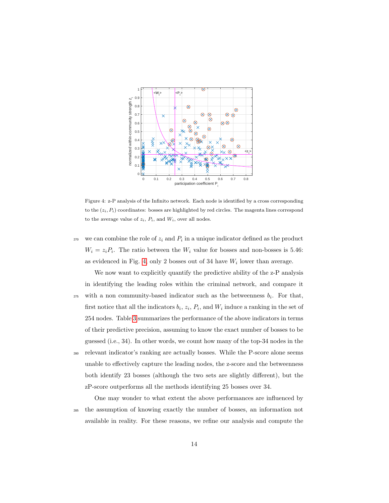

<span id="page-13-0"></span>Figure 4: z-P analysis of the Infinito network. Each node is identified by a cross corresponding to the  $(z_i, P_i)$  coordinates: bosses are highlighted by red circles. The magenta lines correspond to the average value of  $z_i$ ,  $P_i$ , and  $W_i$ , over all nodes.

- $270$  we can combine the role of  $z_i$  and  $P_i$  in a unique indicator defined as the product  $W_i = z_i P_i$ . The ratio between the  $W_i$  value for bosses and non-bosses is 5.46: as evidenced in Fig. [4,](#page-13-0) only 2 bosses out of 34 have  $W_i$  lower than average.
- We now want to explicitly quantify the predictive ability of the z-P analysis in identifying the leading roles within the criminal network, and compare it 275 with a non community-based indicator such as the betweenness  $b_i$ . For that, first notice that all the indicators  $b_i$ ,  $z_i$ ,  $P_i$ , and  $W_i$  induce a ranking in the set of 254 nodes. Table [3](#page-14-0) summarizes the performance of the above indicators in terms of their predictive precision, assuming to know the exact number of bosses to be guessed (i.e., 34). In other words, we count how many of the top-34 nodes in the <sup>280</sup> relevant indicator's ranking are actually bosses. While the P-score alone seems unable to effectively capture the leading nodes, the z-score and the betweenness both identify 23 bosses (although the two sets are slightly different), but the zP-score outperforms all the methods identifying 25 bosses over 34.

One may wonder to what extent the above performances are influenced by <sup>285</sup> the assumption of knowing exactly the number of bosses, an information not available in reality. For these reasons, we refine our analysis and compute the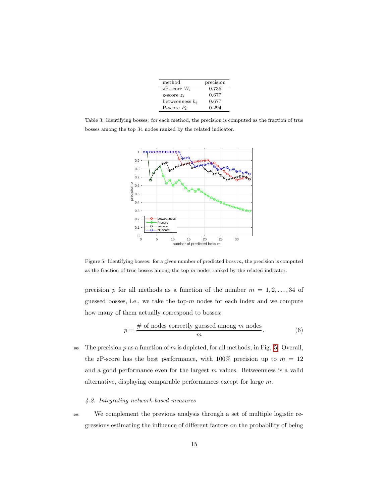| method                | precision |
|-----------------------|-----------|
| $zP\text{-score }W_i$ | 0.735     |
| z-score $z_i$         | 0.677     |
| betweenness $b_i$     | 0.677     |
| P-score $P_i$         | 0.294     |

<span id="page-14-0"></span>Table 3: Identifying bosses: for each method, the precision is computed as the fraction of true bosses among the top 34 nodes ranked by the related indicator.



<span id="page-14-1"></span>Figure 5: Identifying bosses: for a given number of predicted boss  $m$ , the precision is computed as the fraction of true bosses among the top  $m$  nodes ranked by the related indicator.

precision p for all methods as a function of the number  $m = 1, 2, ..., 34$  of guessed bosses, i.e., we take the top- $m$  nodes for each index and we compute how many of them actually correspond to bosses:

$$
p = \frac{\text{\# of nodes correctly guessed among } m \text{ nodes}}{m}.
$$
 (6)

290 The precision  $p$  as a function of  $m$  is depicted, for all methods, in Fig. [5.](#page-14-1) Overall, the zP-score has the best performance, with 100% precision up to  $m = 12$ and a good performance even for the largest  $m$  values. Betweenness is a valid alternative, displaying comparable performances except for large m.

#### 4.2. Integrating network-based measures

<sup>295</sup> We complement the previous analysis through a set of multiple logistic regressions estimating the influence of different factors on the probability of being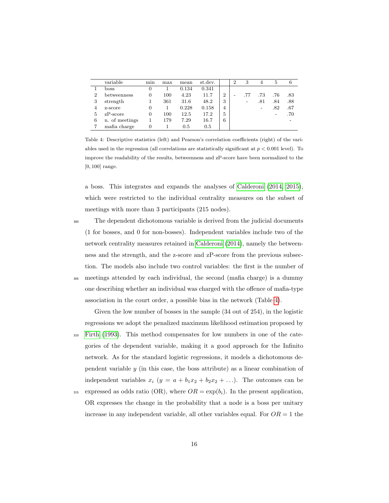|                | variable       | min | max | mean  | st.dev. |                | 2                        | 3   |     | 5   | 6   |
|----------------|----------------|-----|-----|-------|---------|----------------|--------------------------|-----|-----|-----|-----|
|                | boss           | 0   |     | 0.134 | 0.341   |                |                          |     |     |     |     |
| $\overline{2}$ | betweenness    | 0   | 100 | 4.23  | 11.7    | $\overline{2}$ | $\overline{\phantom{0}}$ | .77 | .73 | .76 | .83 |
| 3              | strength       |     | 361 | 31.6  | 48.2    | 3              |                          | -   | .81 | .84 | .88 |
| 4              | z-score        | 0   |     | 0.228 | 0.158   | 4              |                          |     | -   | .82 | .67 |
| 5              | $zP-score$     | 0   | 100 | 12.5  | 17.2    | 5              |                          |     |     |     | .70 |
| 6              | n. of meetings |     | 179 | 7.29  | 16.7    | 6              |                          |     |     |     |     |
|                | mafia charge   |     |     | 0.5   | 0.5     |                |                          |     |     |     |     |

<span id="page-15-0"></span>Table 4: Descriptive statistics (left) and Pearson's correlation coefficients (right) of the variables used in the regression (all correlations are statistically significant at  $p < 0.001$  level). To improve the readability of the results, betweenness and zP-score have been normalized to the [0, 100] range.

a boss. This integrates and expands the analyses of [Calderoni \(2014,](#page-24-0) [2015\)](#page-24-7), which were restricted to the individual centrality measures on the subset of meetings with more than 3 participants (215 nodes).

<sup>300</sup> The dependent dichotomous variable is derived from the judicial documents (1 for bosses, and 0 for non-bosses). Independent variables include two of the network centrality measures retained in [Calderoni \(2014\)](#page-24-0), namely the betweenness and the strength, and the z-score and zP-score from the previous subsection. The models also include two control variables: the first is the number of <sup>305</sup> meetings attended by each individual, the second (mafia charge) is a dummy one describing whether an individual was charged with the offence of mafia-type association in the court order, a possible bias in the network (Table [4\)](#page-15-0).

Given the low number of bosses in the sample (34 out of 254), in the logistic regressions we adopt the penalized maximum likelihood estimation proposed by <sup>310</sup> [Firth \(1993\)](#page-24-8). This method compensates for low numbers in one of the categories of the dependent variable, making it a good approach for the Infinito network. As for the standard logistic regressions, it models a dichotomous dependent variable y (in this case, the boss attribute) as a linear combination of independent variables  $x_i$   $(y = a + b_1x_2 + b_2x_2 + ...)$ . The outcomes can be

315 expressed as odds ratio (OR), where  $OR = \exp(b_i)$ . In the present application, OR expresses the change in the probability that a node is a boss per unitary increase in any independent variable, all other variables equal. For  $OR = 1$  the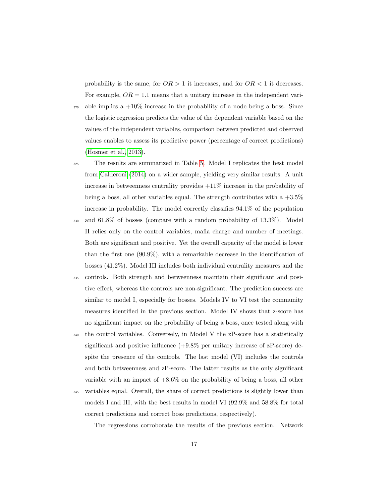probability is the same, for  $OR > 1$  it increases, and for  $OR < 1$  it decreases. For example,  $OR = 1.1$  means that a unitary increase in the independent vari-

- $\frac{320}{2}$  able implies a  $+10\%$  increase in the probability of a node being a boss. Since the logistic regression predicts the value of the dependent variable based on the values of the independent variables, comparison between predicted and observed values enables to assess its predictive power (percentage of correct predictions) [\(Hosmer et al., 2013\)](#page-25-6).
- <sup>325</sup> The results are summarized in Table [5.](#page-17-0) Model I replicates the best model from [Calderoni \(2014\)](#page-24-0) on a wider sample, yielding very similar results. A unit increase in betweenness centrality provides  $+11\%$  increase in the probability of being a boss, all other variables equal. The strength contributes with a  $+3.5\%$ increase in probability. The model correctly classifies 94.1% of the population
- <sup>330</sup> and 61.8% of bosses (compare with a random probability of 13.3%). Model II relies only on the control variables, mafia charge and number of meetings. Both are significant and positive. Yet the overall capacity of the model is lower than the first one (90.9%), with a remarkable decrease in the identification of bosses (41.2%). Model III includes both individual centrality measures and the
- <sup>335</sup> controls. Both strength and betweenness maintain their significant and positive effect, whereas the controls are non-significant. The prediction success are similar to model I, especially for bosses. Models IV to VI test the community measures identified in the previous section. Model IV shows that z-score has no significant impact on the probability of being a boss, once tested along with
- <sup>340</sup> the control variables. Conversely, in Model V the zP-score has a statistically significant and positive influence  $(+9.8\%$  per unitary increase of zP-score) despite the presence of the controls. The last model (VI) includes the controls and both betweenness and zP-score. The latter results as the only significant variable with an impact of  $+8.6\%$  on the probability of being a boss, all other
- <sup>345</sup> variables equal. Overall, the share of correct predictions is slightly lower than models I and III, with the best results in model VI (92.9% and 58.8% for total correct predictions and correct boss predictions, respectively).

The regressions corroborate the results of the previous section. Network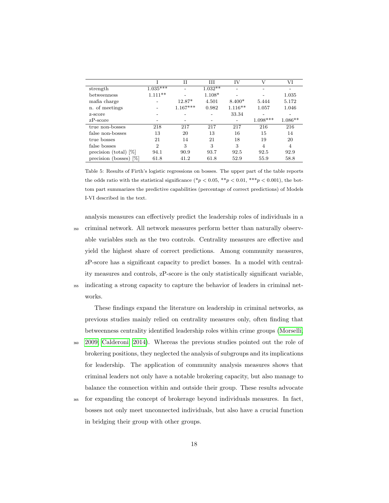|                                     |                | и          | Ш         | IV        | ٦Z         | VI        |
|-------------------------------------|----------------|------------|-----------|-----------|------------|-----------|
| strength                            | $1.035***$     |            | $1.032**$ |           |            |           |
| betweenness                         | $1.111**$      |            | $1.108*$  |           |            | 1.035     |
| mafia charge                        |                | 12.87*     | 4.501     | $8.400*$  | 5.444      | 5.172     |
| n. of meetings                      |                | $1.167***$ | 0.982     | $1.116**$ | 1.057      | 1.046     |
| z-score                             |                |            |           | 33.34     |            |           |
| $zP-score$                          |                |            |           |           | $1.098***$ | $1.086**$ |
| true non-bosses                     | 218            | 217        | 217       | 217       | 216        | 216       |
| false non-bosses                    | 13             | 20         | 13        | 16        | 15         | 14        |
| true bosses                         | 21             | 14         | 21        | 18        | 19         | 20        |
| false bosses                        | $\overline{2}$ | 3          | 3         | 3         | 4          | 4         |
| precision (total) $[\%]$            | 94.1           | 90.9       | 93.7      | 92.5      | 92.5       | 92.9      |
| $\frac{1}{2}$<br>precision (bosses) | 61.8           | 41.2       | 61.8      | 52.9      | 55.9       | 58.8      |

<span id="page-17-0"></span>Table 5: Results of Firth's logistic regressions on bosses. The upper part of the table reports the odds ratio with the statistical significance (\*p < 0.05, \*\*p < 0.01, \*\*\*p < 0.001), the bottom part summarizes the predictive capabilities (percentage of correct predictions) of Models I-VI described in the text.

analysis measures can effectively predict the leadership roles of individuals in a <sup>350</sup> criminal network. All network measures perform better than naturally observable variables such as the two controls. Centrality measures are effective and yield the highest share of correct predictions. Among community measures, zP-score has a significant capacity to predict bosses. In a model with centrality measures and controls, zP-score is the only statistically significant variable, <sup>355</sup> indicating a strong capacity to capture the behavior of leaders in criminal net-

works.

These findings expand the literature on leadership in criminal networks, as previous studies mainly relied on centrality measures only, often finding that betweenness centrality identified leadership roles within crime groups [\(Morselli,](#page-26-0)

- <sup>360</sup> [2009;](#page-26-0) [Calderoni, 2014\)](#page-24-0). Whereas the previous studies pointed out the role of brokering positions, they neglected the analysis of subgroups and its implications for leadership. The application of community analysis measures shows that criminal leaders not only have a notable brokering capacity, but also manage to balance the connection within and outside their group. These results advocate
- <sup>365</sup> for expanding the concept of brokerage beyond individuals measures. In fact, bosses not only meet unconnected individuals, but also have a crucial function in bridging their group with other groups.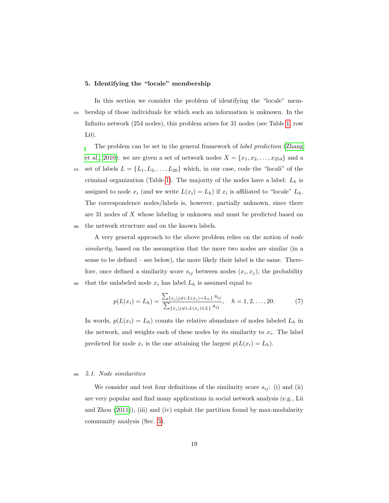# 5. Identifying the "locale" membership

In this section we consider the problem of identifying the "locale" mem-<sup>370</sup> bership of those individuals for which such an information is unknown. In the Infinito network (254 nodes), this problem arises for 31 nodes (see Table [1,](#page-7-1) row  $L(0)$ .

The problem can be set in the general framework of label prediction [\(Zhang](#page-27-3) [et al., 2010\)](#page-27-3): we are given a set of network nodes  $X = \{x_1, x_2, \ldots, x_{254}\}\$ and a 375 set of labels  $L = \{L_1, L_2, \ldots, L_{20}\}\$  which, in our case, code the "locali" of the criminal organization (Table [1\)](#page-7-1). The majority of the nodes have a label:  $L_h$  is assigned to node  $x_i$  (and we write  $L(x_i) = L_h$ ) if  $x_i$  is affiliated to "locale"  $L_h$ . The correspondence nodes/labels is, however, partially unknown, since there are 31 nodes of X whose labeling is unknown and must be predicted based on <sup>380</sup> the network structure and on the known labels.

A very general approach to the above problem relies on the notion of node similarity, based on the assumption that the more two nodes are similar (in a sense to be defined – see below), the more likely their label is the same. Therefore, once defined a similarity score  $s_{ij}$  between nodes  $(x_i, x_j)$ , the probability <sup>385</sup> that the unlabeled node  $x_i$  has label  $L_h$  is assumed equal to

<span id="page-18-0"></span>
$$
p(L(x_i) = L_h) = \frac{\sum_{\{x_j \mid j \neq i, L(x_j) = L_h\}} s_{ij}}{\sum_{\{x_j \mid j \neq i, L(x_j) \in L\}} s_{ij}}, \quad h = 1, 2, \dots, 20.
$$
 (7)

In words,  $p(L(x_i) = L_h)$  counts the relative abundance of nodes labeled  $L_h$  in the network, and weights each of these nodes by its similarity to  $x_i$ . The label predicted for node  $x_i$  is the one attaining the largest  $p(L(x_i) = L_h)$ .

# <sup>390</sup> 5.1. Node similarities

We consider and test four definitions of the similarity score  $s_{ij}$ : (i) and (ii) are very popular and find many applications in social network analysis (e.g., Lü and Zhou [\(2011\)](#page-25-7)), (iii) and (iv) exploit the partition found by max-modularity community analysis (Sec. [3\)](#page-7-0).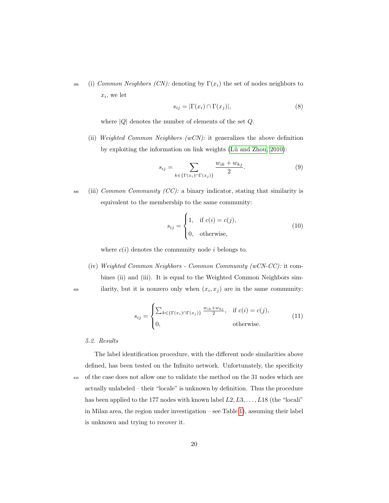395 (i) Common Neighbors (CN): denoting by  $\Gamma(x_i)$  the set of nodes neighbors to  $x_i$ , we let

$$
s_{ij} = |\Gamma(x_i) \cap \Gamma(x_j)|,\tag{8}
$$

where  $|Q|$  denotes the number of elements of the set  $Q$ .

(ii) Weighted Common Neighbors  $(wCN)$ : it generalizes the above definition by exploiting the information on link weights (Lü and Zhou, 2010):

$$
s_{ij} = \sum_{k \in \{\Gamma(x_i) \cap \Gamma(x_j)\}} \frac{w_{ik} + w_{kj}}{2}.
$$
 (9)

 $\omega_{400}$  (iii) Common Community (CC): a binary indicator, stating that similarity is equivalent to the membership to the same community:

$$
s_{ij} = \begin{cases} 1, & \text{if } c(i) = c(j), \\ 0, & \text{otherwise}, \end{cases}
$$
 (10)

where  $c(i)$  denotes the community node i belongs to.

(iv) Weighted Common Neighbors - Common Community (wCN-CC): it combines (ii) and (iii). It is equal to the Weighted Common Neighbors sim- $\mu_{\text{405}}$  ilarity, but it is nonzero only when  $(x_i, x_j)$  are in the same community:

$$
s_{ij} = \begin{cases} \sum_{k \in \{\Gamma(x_i) \cap \Gamma(x_j)\}} \frac{w_{ik} + w_{kj}}{2}, & \text{if } c(i) = c(j), \\ 0, & \text{otherwise.} \end{cases}
$$
(11)

#### 5.2. Results

The label identification procedure, with the different node similarities above defined, has been tested on the Infinito network. Unfortunately, the specificity <sup>410</sup> of the case does not allow one to validate the method on the 31 nodes which are actually unlabeled – their "locale" is unknown by definition. Thus the procedure has been applied to the 177 nodes with known label  $L2, L3, \ldots, L18$  (the "locali" in Milan area, the region under investigation – see Table [1\)](#page-7-1), assuming their label is unknown and trying to recover it.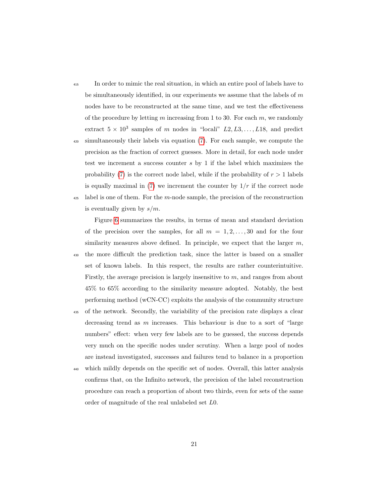<sup>415</sup> In order to mimic the real situation, in which an entire pool of labels have to be simultaneously identified, in our experiments we assume that the labels of  $m$ nodes have to be reconstructed at the same time, and we test the effectiveness of the procedure by letting  $m$  increasing from 1 to 30. For each  $m$ , we randomly extract  $5 \times 10^3$  samples of m nodes in "locali"  $L2, L3, \ldots, L18$ , and predict

- <sup>420</sup> simultaneously their labels via equation [\(7\)](#page-18-0). For each sample, we compute the precision as the fraction of correct guesses. More in detail, for each node under test we increment a success counter s by 1 if the label which maximizes the probability [\(7\)](#page-18-0) is the correct node label, while if the probability of  $r > 1$  labels is equally maximal in  $(7)$  we increment the counter by  $1/r$  if the correct node  $425$  label is one of them. For the m-node sample, the precision of the reconstruction
- is eventually given by  $s/m$ .

Figure [6](#page-21-0) summarizes the results, in terms of mean and standard deviation of the precision over the samples, for all  $m = 1, 2, \ldots, 30$  and for the four similarity measures above defined. In principle, we expect that the larger  $m$ ,

- <sup>430</sup> the more difficult the prediction task, since the latter is based on a smaller set of known labels. In this respect, the results are rather counterintuitive. Firstly, the average precision is largely insensitive to m, and ranges from about 45% to 65% according to the similarity measure adopted. Notably, the best performing method (wCN-CC) exploits the analysis of the community structure
- <sup>435</sup> of the network. Secondly, the variability of the precision rate displays a clear decreasing trend as m increases. This behaviour is due to a sort of "large numbers" effect: when very few labels are to be guessed, the success depends very much on the specific nodes under scrutiny. When a large pool of nodes are instead investigated, successes and failures tend to balance in a proportion
- <sup>440</sup> which mildly depends on the specific set of nodes. Overall, this latter analysis confirms that, on the Infinito network, the precision of the label reconstruction procedure can reach a proportion of about two thirds, even for sets of the same order of magnitude of the real unlabeled set L0.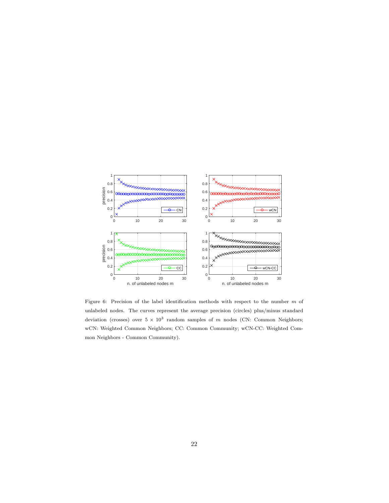

<span id="page-21-0"></span>Figure 6: Precision of the label identification methods with respect to the number  $m$  of unlabeled nodes. The curves represent the average precision (circles) plus/minus standard deviation (crosses) over  $5 \times 10^3$  random samples of m nodes (CN: Common Neighbors; wCN: Weighted Common Neighbors; CC: Common Community; wCN-CC: Weighted Common Neighbors - Common Community).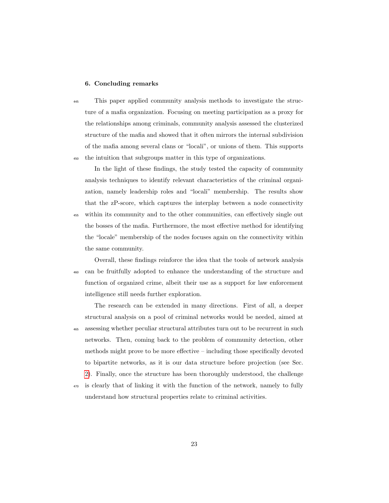#### 6. Concluding remarks

<sup>445</sup> This paper applied community analysis methods to investigate the structure of a mafia organization. Focusing on meeting participation as a proxy for the relationships among criminals, community analysis assessed the clusterized structure of the mafia and showed that it often mirrors the internal subdivision of the mafia among several clans or "locali", or unions of them. This supports <sup>450</sup> the intuition that subgroups matter in this type of organizations.

In the light of these findings, the study tested the capacity of community analysis techniques to identify relevant characteristics of the criminal organization, namely leadership roles and "locali" membership. The results show that the zP-score, which captures the interplay between a node connectivity <sup>455</sup> within its community and to the other communities, can effectively single out the bosses of the mafia. Furthermore, the most effective method for identifying the "locale" membership of the nodes focuses again on the connectivity within the same community.

Overall, these findings reinforce the idea that the tools of network analysis <sup>460</sup> can be fruitfully adopted to enhance the understanding of the structure and function of organized crime, albeit their use as a support for law enforcement intelligence still needs further exploration.

The research can be extended in many directions. First of all, a deeper structural analysis on a pool of criminal networks would be needed, aimed at <sup>465</sup> assessing whether peculiar structural attributes turn out to be recurrent in such networks. Then, coming back to the problem of community detection, other methods might prove to be more effective – including those specifically devoted to bipartite networks, as it is our data structure before projection (see Sec. [2\)](#page-4-0). Finally, once the structure has been thoroughly understood, the challenge <sup>470</sup> is clearly that of linking it with the function of the network, namely to fully

understand how structural properties relate to criminal activities.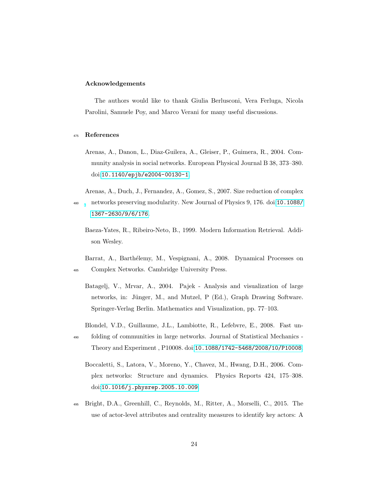# Acknowledgements

The authors would like to thank Giulia Berlusconi, Vera Ferluga, Nicola Parolini, Samuele Poy, and Marco Verani for many useful discussions.

# <span id="page-23-3"></span><sup>475</sup> References

- Arenas, A., Danon, L., Diaz-Guilera, A., Gleiser, P., Guimera, R., 2004. Community analysis in social networks. European Physical Journal B 38, 373–380. doi:[10.1140/epjb/e2004-00130-1](http://dx.doi.org/10.1140/epjb/e2004-00130-1).
- <span id="page-23-7"></span><span id="page-23-5"></span>Arenas, A., Duch, J., Fernandez, A., Gomez, S., 2007. Size reduction of complex <sup>480</sup> networks preserving modularity. New Journal of Physics 9, 176. doi:[10.1088/](http://dx.doi.org/10.1088/1367-2630/9/6/176) [1367-2630/9/6/176](http://dx.doi.org/10.1088/1367-2630/9/6/176).
	- Baeza-Yates, R., Ribeiro-Neto, B., 1999. Modern Information Retrieval. Addison Wesley.
- <span id="page-23-4"></span><span id="page-23-2"></span>Barrat, A., Barthélemy, M., Vespignani, A., 2008. Dynamical Processes on <sup>485</sup> Complex Networks. Cambridge University Press.
	- Batagelj, V., Mrvar, A., 2004. Pajek Analysis and visualization of large networks, in: Jünger, M., and Mutzel, P (Ed.), Graph Drawing Software. Springer-Verlag Berlin. Mathematics and Visualization, pp. 77–103.
	- Blondel, V.D., Guillaume, J.L., Lambiotte, R., Lefebvre, E., 2008. Fast un-
- <span id="page-23-6"></span><span id="page-23-1"></span><sup>490</sup> folding of communities in large networks. Journal of Statistical Mechanics - Theory and Experiment , P10008. doi:[10.1088/1742-5468/2008/10/P10008](http://dx.doi.org/10.1088/1742-5468/2008/10/P10008).
	- Boccaletti, S., Latora, V., Moreno, Y., Chavez, M., Hwang, D.H., 2006. Complex networks: Structure and dynamics. Physics Reports 424, 175–308. doi:[10.1016/j.physrep.2005.10.009](http://dx.doi.org/10.1016/j.physrep.2005.10.009).
- <span id="page-23-0"></span><sup>495</sup> Bright, D.A., Greenhill, C., Reynolds, M., Ritter, A., Morselli, C., 2015. The use of actor-level attributes and centrality measures to identify key actors: A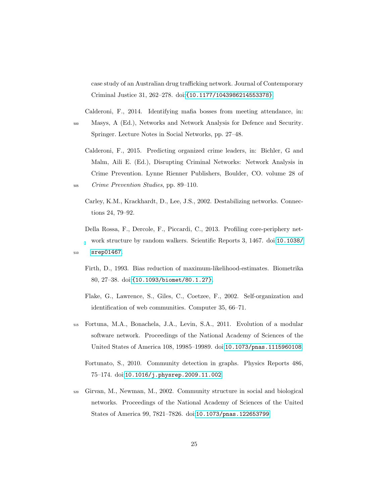case study of an Australian drug trafficking network. Journal of Contemporary Criminal Justice 31, 262–278. doi:[{10.1177/1043986214553378}](http://dx.doi.org/{10.1177/1043986214553378}).

<span id="page-24-0"></span>Calderoni, F., 2014. Identifying mafia bosses from meeting attendance, in:

- <sup>500</sup> Masys, A (Ed.), Networks and Network Analysis for Defence and Security. Springer. Lecture Notes in Social Networks, pp. 27–48.
- <span id="page-24-7"></span>Calderoni, F., 2015. Predicting organized crime leaders, in: Bichler, G and Malm, Aili E. (Ed.), Disrupting Criminal Networks: Network Analysis in Crime Prevention. Lynne Rienner Publishers, Boulder, CO. volume 28 of <sup>505</sup> Crime Prevention Studies, pp. 89–110.
	- Carley, K.M., Krackhardt, D., Lee, J.S., 2002. Destabilizing networks. Connections 24, 79–92.
- <span id="page-24-8"></span><span id="page-24-6"></span><span id="page-24-1"></span>Della Rossa, F., Dercole, F., Piccardi, C., 2013. Profiling core-periphery network structure by random walkers. Scientific Reports 3, 1467. doi:[10.1038/](http://dx.doi.org/10.1038/srep01467) <sup>510</sup> [srep01467](http://dx.doi.org/10.1038/srep01467).
	- Firth, D., 1993. Bias reduction of maximum-likelihood-estimates. Biometrika 80, 27–38. doi:[{10.1093/biomet/80.1.27}](http://dx.doi.org/{10.1093/biomet/80.1.27}).
	- Flake, G., Lawrence, S., Giles, C., Coetzee, F., 2002. Self-organization and identification of web communities. Computer 35, 66–71.
- <span id="page-24-4"></span><span id="page-24-3"></span><span id="page-24-2"></span><sup>515</sup> Fortuna, M.A., Bonachela, J.A., Levin, S.A., 2011. Evolution of a modular software network. Proceedings of the National Academy of Sciences of the United States of America 108, 19985–19989. doi:[10.1073/pnas.1115960108](http://dx.doi.org/10.1073/pnas.1115960108).
	- Fortunato, S., 2010. Community detection in graphs. Physics Reports 486, 75–174. doi:[10.1016/j.physrep.2009.11.002](http://dx.doi.org/10.1016/j.physrep.2009.11.002).
- <span id="page-24-5"></span><sup>520</sup> Girvan, M., Newman, M., 2002. Community structure in social and biological networks. Proceedings of the National Academy of Sciences of the United States of America 99, 7821–7826. doi:[10.1073/pnas.122653799](http://dx.doi.org/10.1073/pnas.122653799).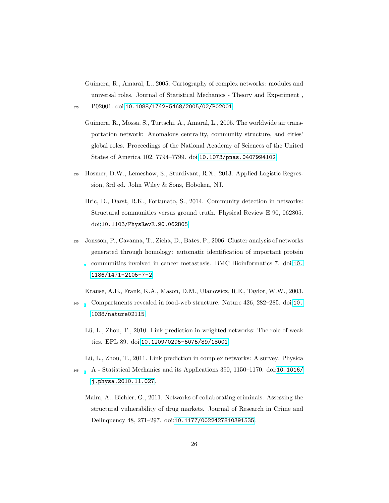<span id="page-25-4"></span>Guimera, R., Amaral, L., 2005. Cartography of complex networks: modules and universal roles. Journal of Statistical Mechanics - Theory and Experiment , <sup>525</sup> P02001. doi:[10.1088/1742-5468/2005/02/P02001](http://dx.doi.org/10.1088/1742-5468/2005/02/P02001).

- <span id="page-25-5"></span>Guimera, R., Mossa, S., Turtschi, A., Amaral, L., 2005. The worldwide air transportation network: Anomalous centrality, community structure, and cities' global roles. Proceedings of the National Academy of Sciences of the United States of America 102, 7794–7799. doi:[10.1073/pnas.0407994102](http://dx.doi.org/10.1073/pnas.0407994102).
- <span id="page-25-6"></span><span id="page-25-3"></span><sup>530</sup> Hosmer, D.W., Lemeshow, S., Sturdivant, R.X., 2013. Applied Logistic Regression, 3rd ed. John Wiley & Sons, Hoboken, NJ.
	- Hric, D., Darst, R.K., Fortunato, S., 2014. Community detection in networks: Structural communities versus ground truth. Physical Review E 90, 062805. doi:[10.1103/PhysRevE.90.062805](http://dx.doi.org/10.1103/PhysRevE.90.062805).
- <span id="page-25-1"></span><sup>535</sup> Jonsson, P., Cavanna, T., Zicha, D., Bates, P., 2006. Cluster analysis of networks generated through homology: automatic identification of important protein communities involved in cancer metastasis. BMC Bioinformatics 7. doi:[10.](http://dx.doi.org/10.1186/1471-2105-7-2) [1186/1471-2105-7-2](http://dx.doi.org/10.1186/1471-2105-7-2).

<span id="page-25-2"></span>Krause, A.E., Frank, K.A., Mason, D.M., Ulanowicz, R.E., Taylor, W.W., 2003.

- <span id="page-25-8"></span><sup>540</sup> Compartments revealed in food-web structure. Nature 426, 282–285. doi:[10.](http://dx.doi.org/10.1038/nature02115) [1038/nature02115](http://dx.doi.org/10.1038/nature02115).
	- Lü, L., Zhou, T., 2010. Link prediction in weighted networks: The role of weak ties. EPL 89. doi:[10.1209/0295-5075/89/18001](http://dx.doi.org/10.1209/0295-5075/89/18001).
	- Lü, L., Zhou, T., 2011. Link prediction in complex networks: A survey. Physica
- <span id="page-25-7"></span><span id="page-25-0"></span><sup>545</sup> A - Statistical Mechanics and its Applications 390, 1150–1170. doi:[10.1016/](http://dx.doi.org/10.1016/j.physa.2010.11.027) [j.physa.2010.11.027](http://dx.doi.org/10.1016/j.physa.2010.11.027).
	- Malm, A., Bichler, G., 2011. Networks of collaborating criminals: Assessing the structural vulnerability of drug markets. Journal of Research in Crime and Delinquency 48, 271–297. doi:[10.1177/0022427810391535](http://dx.doi.org/10.1177/0022427810391535).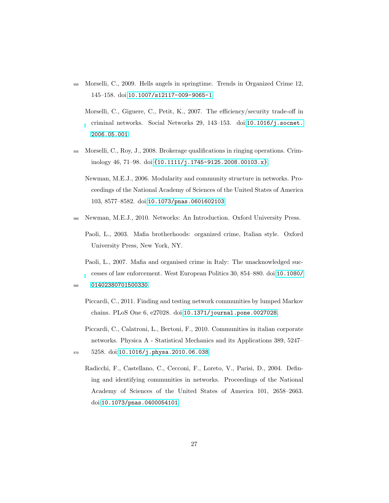- <span id="page-26-2"></span><span id="page-26-0"></span><sup>550</sup> Morselli, C., 2009. Hells angels in springtime. Trends in Organized Crime 12, 145–158. doi:[10.1007/s12117-009-9065-1](http://dx.doi.org/10.1007/s12117-009-9065-1).
	- Morselli, C., Giguere, C., Petit, K., 2007. The efficiency/security trade-off in criminal networks. Social Networks 29, 143–153. doi:[10.1016/j.socnet.](http://dx.doi.org/10.1016/j.socnet.2006.05.001) [2006.05.001](http://dx.doi.org/10.1016/j.socnet.2006.05.001).
- <span id="page-26-9"></span><span id="page-26-1"></span><sup>555</sup> Morselli, C., Roy, J., 2008. Brokerage qualifications in ringing operations. Criminology 46, 71–98. doi:[{10.1111/j.1745-9125.2008.00103.x}](http://dx.doi.org/{10.1111/j.1745-9125.2008.00103.x}).
	- Newman, M.E.J., 2006. Modularity and community structure in networks. Proceedings of the National Academy of Sciences of the United States of America 103, 8577–8582. doi:[10.1073/pnas.0601602103](http://dx.doi.org/10.1073/pnas.0601602103).
- <span id="page-26-5"></span><span id="page-26-3"></span><sup>560</sup> Newman, M.E.J., 2010. Networks: An Introduction. Oxford University Press.
	- Paoli, L., 2003. Mafia brotherhoods: organized crime, Italian style. Oxford University Press, New York, NY.
	- Paoli, L., 2007. Mafia and organised crime in Italy: The unacknowledged successes of law enforcement. West European Politics 30, 854–880. doi:[10.1080/](http://dx.doi.org/10.1080/01402380701500330)

- Piccardi, C., 2011. Finding and testing network communities by lumped Markov chains. PLoS One 6, e27028. doi:[10.1371/journal.pone.0027028](http://dx.doi.org/10.1371/journal.pone.0027028).
- <span id="page-26-8"></span><span id="page-26-4"></span>Piccardi, C., Calatroni, L., Bertoni, F., 2010. Communities in italian corporate networks. Physica A - Statistical Mechanics and its Applications 389, 5247– <sup>570</sup> 5258. doi:[10.1016/j.physa.2010.06.038](http://dx.doi.org/10.1016/j.physa.2010.06.038).
	- Radicchi, F., Castellano, C., Cecconi, F., Loreto, V., Parisi, D., 2004. Defining and identifying communities in networks. Proceedings of the National Academy of Sciences of the United States of America 101, 2658–2663. doi:[10.1073/pnas.0400054101](http://dx.doi.org/10.1073/pnas.0400054101).

<span id="page-26-7"></span><span id="page-26-6"></span><sup>565</sup> [01402380701500330](http://dx.doi.org/10.1080/01402380701500330).